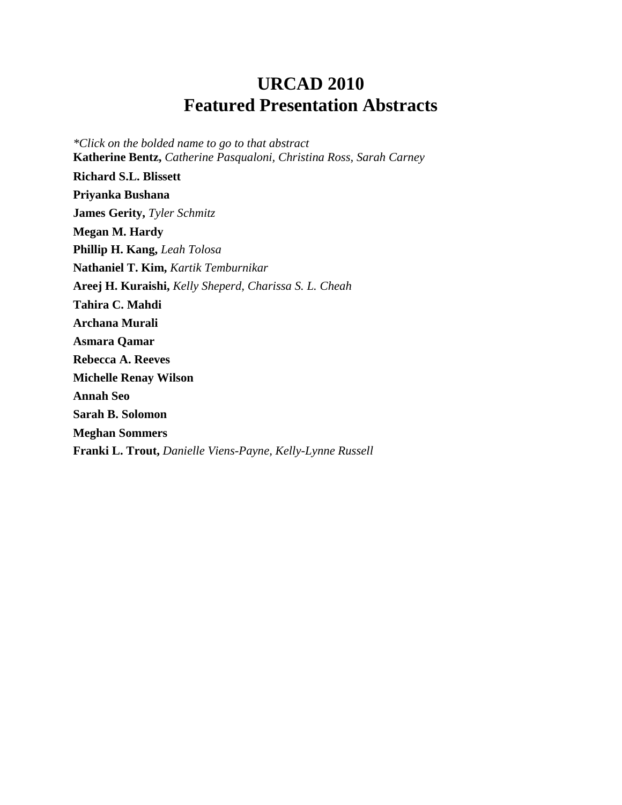# **URCAD 2010 Featured Presentation Abstracts**

<span id="page-0-0"></span>*\*Click on the bolded name to go to that abstract* **[Katherine Bentz,](#page-7-0)** *Catherine Pasqualoni, Christina Ross, Sarah Carney* **[Richard S.L. Blissett](#page-4-0) [Priyanka Bushana](#page-2-0) [James Gerity,](#page-5-0)** *Tyler Schmitz* **[Megan M. Hardy](#page-5-1) [Phillip H. Kang,](#page-5-2)** *Leah Tolosa* **[Nathaniel T. Kim,](#page-4-1)** *Kartik Temburnikar* **[Areej H. Kuraishi,](#page-7-1)** *Kelly Sheperd, Charissa S. L. Cheah* **[Tahira C. Mahdi](#page-3-0) [Archana Murali](#page-3-1) [Asmara Qamar](#page-2-1) [Rebecca A. Reeves](#page-1-0) [Michelle Renay Wilson](#page-3-2) [Annah Seo](#page-6-0) [Sarah B. Solomon](#page-1-1) [Meghan Sommers](#page-6-1) [Franki L. Trout,](#page-1-2)** *Danielle Viens-Payne, Kelly-Lynne Russell*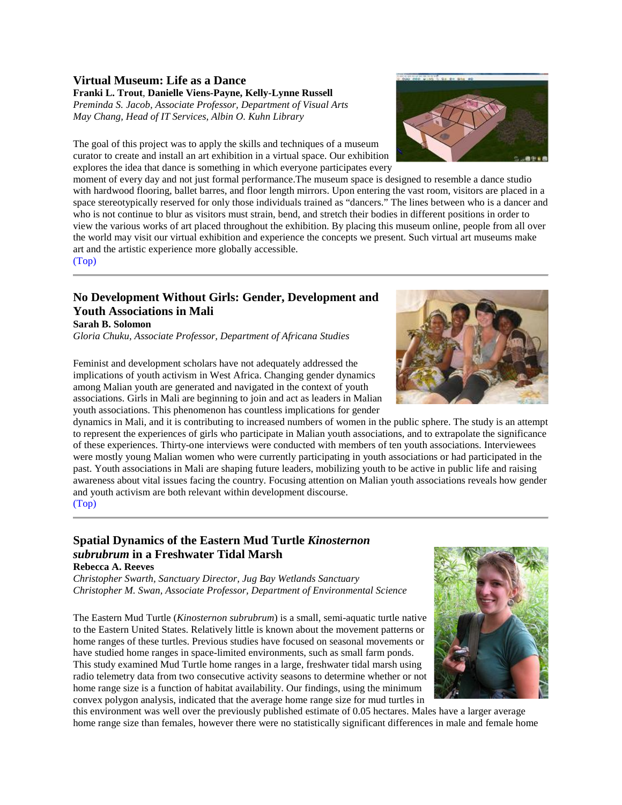#### <span id="page-1-2"></span>**Virtual Museum: Life as a Dance Franki L. Trout***,* **Danielle Viens-Payne, Kelly-Lynne Russell**

*Preminda S. Jacob, Associate Professor, Department of Visual Arts May Chang, Head of IT Services, Albin O. Kuhn Library*

The goal of this project was to apply the skills and techniques of a museum curator to create and install an art exhibition in a virtual space. Our exhibition explores the idea that dance is something in which everyone participates every

moment of every day and not just formal performance. The museum space is designed to resemble a dance studio with hardwood flooring, ballet barres, and floor length mirrors. Upon entering the vast room, visitors are placed in a space stereotypically reserved for only those individuals trained as "dancers." The lines between who is a dancer and who is not continue to blur as visitors must strain, bend, and stretch their bodies in different positions in order to view the various works of art placed throughout the exhibition. By placing this museum online, people from all over the world may visit our virtual exhibition and experience the concepts we present. Such virtual art museums make art and the artistic experience more globally accessible.

[\(Top\)](#page-0-0)

### <span id="page-1-1"></span>**No Development Without Girls: Gender, Development and Youth Associations in Mali**

**Sarah B. Solomon**

*Gloria Chuku, Associate Professor, Department of Africana Studies*



Feminist and development scholars have not adequately addressed the implications of youth activism in West Africa. Changing gender dynamics among Malian youth are generated and navigated in the context of youth associations. Girls in Mali are beginning to join and act as leaders in Malian youth associations. This phenomenon has countless implications for gender

dynamics in Mali, and it is contributing to increased numbers of women in the public sphere. The study is an attempt to represent the experiences of girls who participate in Malian youth associations, and to extrapolate the significance of these experiences. Thirty-one interviews were conducted with members of ten youth associations. Interviewees were mostly young Malian women who were currently participating in youth associations or had participated in the past. Youth associations in Mali are shaping future leaders, mobilizing youth to be active in public life and raising awareness about vital issues facing the country. Focusing attention on Malian youth associations reveals how gender and youth activism are both relevant within development discourse. [\(Top\)](#page-0-0)

#### <span id="page-1-0"></span>**Spatial Dynamics of the Eastern Mud Turtle** *Kinosternon subrubrum* **in a Freshwater Tidal Marsh Rebecca A. Reeves**

*Christopher Swarth, Sanctuary Director, Jug Bay Wetlands Sanctuary Christopher M. Swan, Associate Professor, Department of Environmental Science*

The Eastern Mud Turtle (*Kinosternon subrubrum*) is a small, semi-aquatic turtle native to the Eastern United States. Relatively little is known about the movement patterns or home ranges of these turtles. Previous studies have focused on seasonal movements or have studied home ranges in space-limited environments, such as small farm ponds. This study examined Mud Turtle home ranges in a large, freshwater tidal marsh using radio telemetry data from two consecutive activity seasons to determine whether or not home range size is a function of habitat availability. Our findings, using the minimum convex polygon analysis, indicated that the average home range size for mud turtles in



this environment was well over the previously published estimate of 0.05 hectares. Males have a larger average home range size than females, however there were no statistically significant differences in male and female home

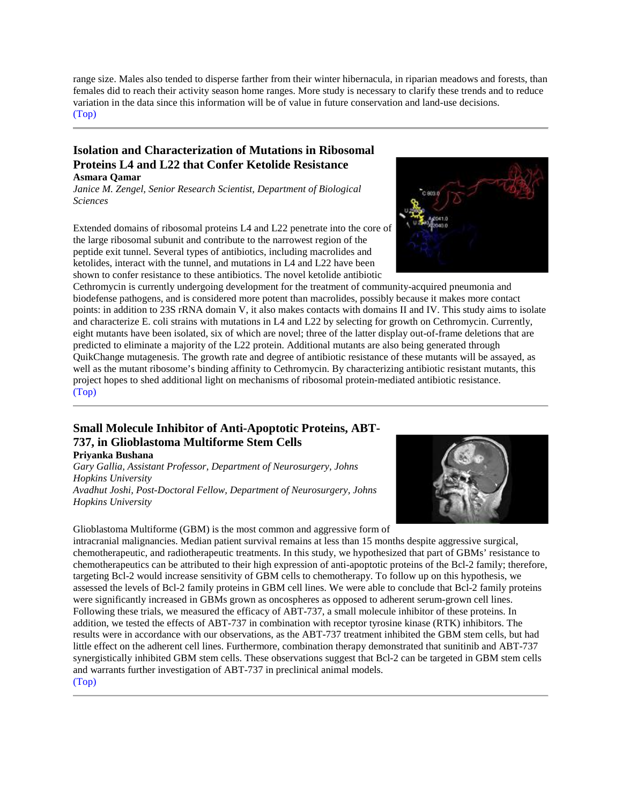range size. Males also tended to disperse farther from their winter hibernacula, in riparian meadows and forests, than females did to reach their activity season home ranges. More study is necessary to clarify these trends and to reduce variation in the data since this information will be of value in future conservation and land-use decisions. [\(Top\)](#page-0-0)

#### <span id="page-2-1"></span>**Isolation and Characterization of Mutations in Ribosomal Proteins L4 and L22 that Confer Ketolide Resistance Asmara Qamar**

*Janice M. Zengel, Senior Research Scientist, Department of Biological Sciences*

Extended domains of ribosomal proteins L4 and L22 penetrate into the core of the large ribosomal subunit and contribute to the narrowest region of the peptide exit tunnel. Several types of antibiotics, including macrolides and ketolides, interact with the tunnel, and mutations in L4 and L22 have been shown to confer resistance to these antibiotics. The novel ketolide antibiotic

Cethromycin is currently undergoing development for the treatment of community-acquired pneumonia and biodefense pathogens, and is considered more potent than macrolides, possibly because it makes more contact points: in addition to 23S rRNA domain V, it also makes contacts with domains II and IV. This study aims to isolate and characterize E. coli strains with mutations in L4 and L22 by selecting for growth on Cethromycin. Currently, eight mutants have been isolated, six of which are novel; three of the latter display out-of-frame deletions that are predicted to eliminate a majority of the L22 protein. Additional mutants are also being generated through QuikChange mutagenesis. The growth rate and degree of antibiotic resistance of these mutants will be assayed, as well as the mutant ribosome's binding affinity to Cethromycin. By characterizing antibiotic resistant mutants, this project hopes to shed additional light on mechanisms of ribosomal protein-mediated antibiotic resistance. [\(Top\)](#page-0-0)

## <span id="page-2-0"></span>**Small Molecule Inhibitor of Anti-Apoptotic Proteins, ABT-737, in Glioblastoma Multiforme Stem Cells**

#### **Priyanka Bushana**

*Gary Gallia, Assistant Professor, Department of Neurosurgery, Johns Hopkins University Avadhut Joshi, Post-Doctoral Fellow, Department of Neurosurgery, Johns Hopkins University*

Glioblastoma Multiforme (GBM) is the most common and aggressive form of

intracranial malignancies. Median patient survival remains at less than 15 months despite aggressive surgical, chemotherapeutic, and radiotherapeutic treatments. In this study, we hypothesized that part of GBMs' resistance to chemotherapeutics can be attributed to their high expression of anti-apoptotic proteins of the Bcl-2 family; therefore, targeting Bcl-2 would increase sensitivity of GBM cells to chemotherapy. To follow up on this hypothesis, we assessed the levels of Bcl-2 family proteins in GBM cell lines. We were able to conclude that Bcl-2 family proteins were significantly increased in GBMs grown as oncospheres as opposed to adherent serum-grown cell lines. Following these trials, we measured the efficacy of ABT-737, a small molecule inhibitor of these proteins. In addition, we tested the effects of ABT-737 in combination with receptor tyrosine kinase (RTK) inhibitors. The results were in accordance with our observations, as the ABT-737 treatment inhibited the GBM stem cells, but had little effect on the adherent cell lines. Furthermore, combination therapy demonstrated that sunitinib and ABT-737 synergistically inhibited GBM stem cells. These observations suggest that Bcl-2 can be targeted in GBM stem cells and warrants further investigation of ABT-737 in preclinical animal models. [\(Top\)](#page-0-0)



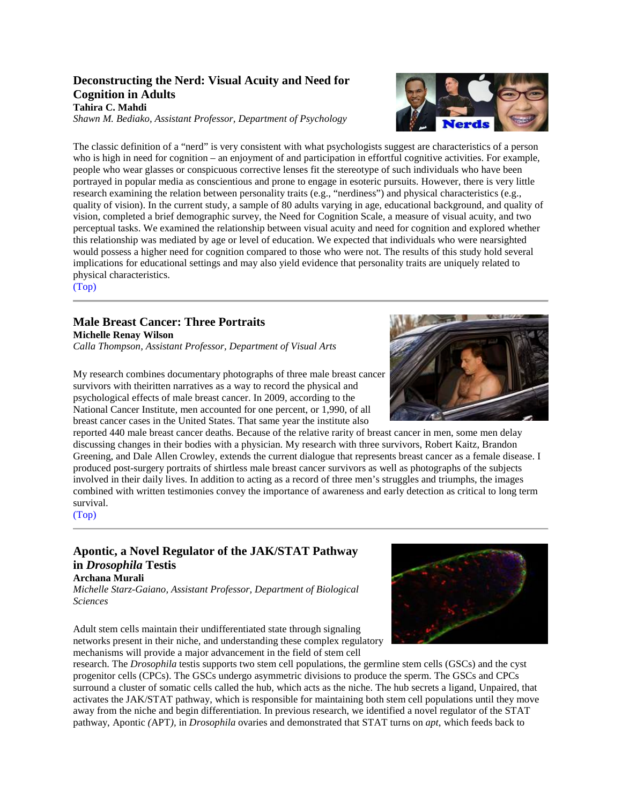#### **Deconstructing the Nerd: Visual Acuity and Need for Cognition in Adults Tahira C. Mahdi**

<span id="page-3-0"></span>*Shawn M. Bediako, Assistant Professor, Department of Psychology*

The classic definition of a "nerd" is very consistent with what psychologists suggest are characteristics of a person who is high in need for cognition – an enjoyment of and participation in effortful cognitive activities. For example, people who wear glasses or conspicuous corrective lenses fit the stereotype of such individuals who have been portrayed in popular media as conscientious and prone to engage in esoteric pursuits. However, there is very little research examining the relation between personality traits (e.g., "nerdiness") and physical characteristics (e.g., quality of vision). In the current study, a sample of 80 adults varying in age, educational background, and quality of vision, completed a brief demographic survey, the Need for Cognition Scale, a measure of visual acuity, and two perceptual tasks. We examined the relationship between visual acuity and need for cognition and explored whether this relationship was mediated by age or level of education. We expected that individuals who were nearsighted would possess a higher need for cognition compared to those who were not. The results of this study hold several implications for educational settings and may also yield evidence that personality traits are uniquely related to physical characteristics.

[\(Top\)](#page-0-0)

## <span id="page-3-2"></span>**Male Breast Cancer: Three Portraits**

**Michelle Renay Wilson** *Calla Thompson, Assistant Professor, Department of Visual Arts*



My research combines documentary photographs of three male breast cancer survivors with theiritten narratives as a way to record the physical and psychological effects of male breast cancer. In 2009, according to the National Cancer Institute, men accounted for one percent, or 1,990, of all breast cancer cases in the United States. That same year the institute also

reported 440 male breast cancer deaths. Because of the relative rarity of breast cancer in men, some men delay discussing changes in their bodies with a physician. My research with three survivors, Robert Kaitz, Brandon Greening, and Dale Allen Crowley, extends the current dialogue that represents breast cancer as a female disease. I produced post-surgery portraits of shirtless male breast cancer survivors as well as photographs of the subjects involved in their daily lives. In addition to acting as a record of three men's struggles and triumphs, the images combined with written testimonies convey the importance of awareness and early detection as critical to long term survival.

#### [\(Top\)](#page-0-0)

#### <span id="page-3-1"></span>**Apontic, a Novel Regulator of the JAK/STAT Pathway in** *Drosophila* **Testis Archana Murali**

*Michelle Starz-Gaiano, Assistant Professor, Department of Biological Sciences*

Adult stem cells maintain their undifferentiated state through signaling networks present in their niche, and understanding these complex regulatory mechanisms will provide a major advancement in the field of stem cell

research. The *Drosophila* testis supports two stem cell populations, the germline stem cells (GSCs) and the cyst progenitor cells (CPCs). The GSCs undergo asymmetric divisions to produce the sperm. The GSCs and CPCs surround a cluster of somatic cells called the hub, which acts as the niche. The hub secrets a ligand, Unpaired, that activates the JAK/STAT pathway, which is responsible for maintaining both stem cell populations until they move away from the niche and begin differentiation. In previous research, we identified a novel regulator of the STAT pathway, Apontic *(*APT*),* in *Drosophila* ovaries and demonstrated that STAT turns on *apt*, which feeds back to

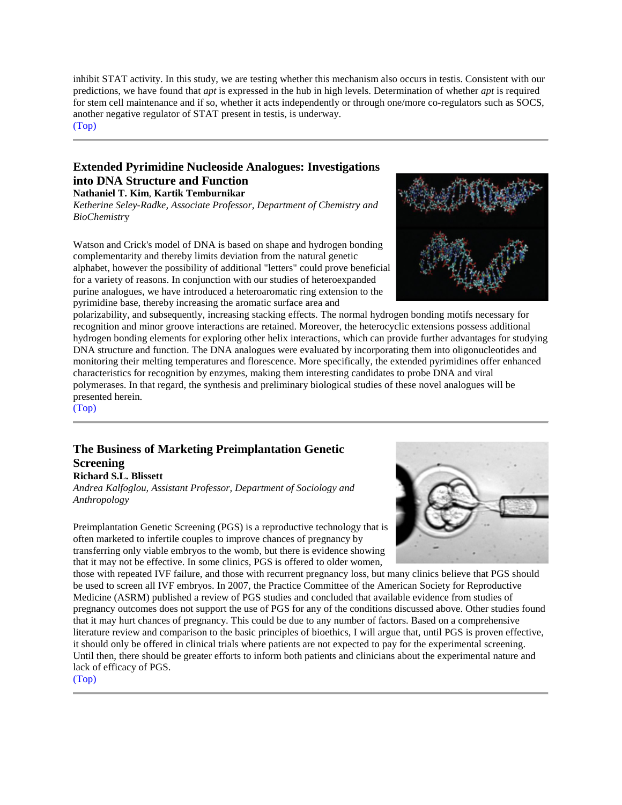inhibit STAT activity. In this study, we are testing whether this mechanism also occurs in testis. Consistent with our predictions, we have found that *apt* is expressed in the hub in high levels. Determination of whether *apt* is required for stem cell maintenance and if so, whether it acts independently or through one/more co-regulators such as SOCS, another negative regulator of STAT present in testis, is underway.

[\(Top\)](#page-0-0)

#### <span id="page-4-1"></span>**Extended Pyrimidine Nucleoside Analogues: Investigations into DNA Structure and Function Nathaniel T. Kim**, **Kartik Temburnikar**

*Ketherine Seley-Radke, Associate Professor, Department of Chemistry and BioChemistr*y

Watson and Crick's model of DNA is based on shape and hydrogen bonding complementarity and thereby limits deviation from the natural genetic alphabet, however the possibility of additional "letters" could prove beneficial for a variety of reasons. In conjunction with our studies of heteroexpanded purine analogues, we have introduced a heteroaromatic ring extension to the pyrimidine base, thereby increasing the aromatic surface area and



polarizability, and subsequently, increasing stacking effects. The normal hydrogen bonding motifs necessary for recognition and minor groove interactions are retained. Moreover, the heterocyclic extensions possess additional hydrogen bonding elements for exploring other helix interactions, which can provide further advantages for studying DNA structure and function. The DNA analogues were evaluated by incorporating them into oligonucleotides and monitoring their melting temperatures and florescence. More specifically, the extended pyrimidines offer enhanced characteristics for recognition by enzymes, making them interesting candidates to probe DNA and viral polymerases. In that regard, the synthesis and preliminary biological studies of these novel analogues will be presented herein.

[\(Top\)](#page-0-0)

## <span id="page-4-0"></span>**The Business of Marketing Preimplantation Genetic Screening**

#### **Richard S.L. Blissett**

*Andrea Kalfoglou, Assistant Professor, Department of Sociology and Anthropology*

Preimplantation Genetic Screening (PGS) is a reproductive technology that is often marketed to infertile couples to improve chances of pregnancy by transferring only viable embryos to the womb, but there is evidence showing that it may not be effective. In some clinics, PGS is offered to older women,



those with repeated IVF failure, and those with recurrent pregnancy loss, but many clinics believe that PGS should be used to screen all IVF embryos. In 2007, the Practice Committee of the American Society for Reproductive Medicine (ASRM) published a review of PGS studies and concluded that available evidence from studies of pregnancy outcomes does not support the use of PGS for any of the conditions discussed above. Other studies found that it may hurt chances of pregnancy. This could be due to any number of factors. Based on a comprehensive literature review and comparison to the basic principles of bioethics, I will argue that, until PGS is proven effective, it should only be offered in clinical trials where patients are not expected to pay for the experimental screening. Until then, there should be greater efforts to inform both patients and clinicians about the experimental nature and lack of efficacy of PGS.

[\(Top\)](#page-0-0)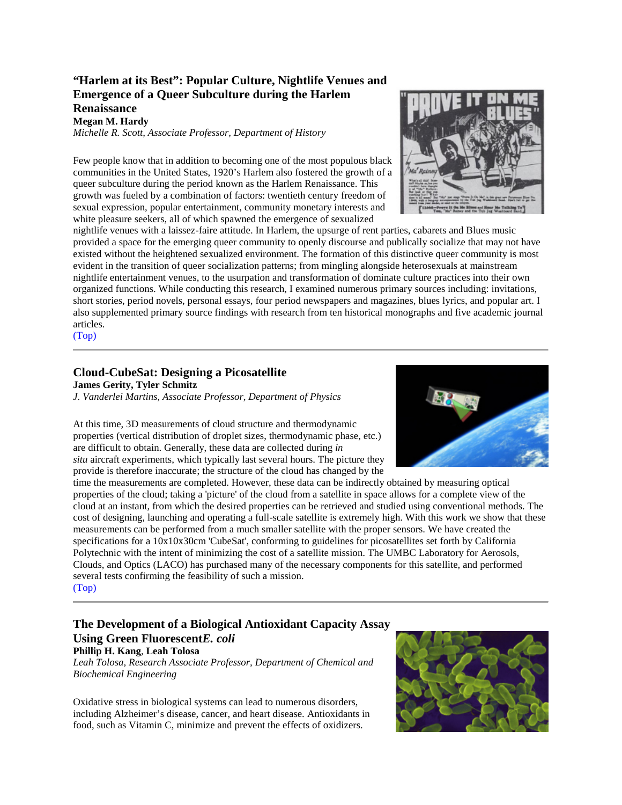#### **"Harlem at its Best": Popular Culture, Nightlife Venues and Emergence of a Queer Subculture during the Harlem Renaissance**

<span id="page-5-1"></span>**Megan M. Hardy**

*Michelle R. Scott, Associate Professor, Department of History*

Few people know that in addition to becoming one of the most populous black communities in the United States, 1920's Harlem also fostered the growth of a queer subculture during the period known as the Harlem Renaissance. This growth was fueled by a combination of factors: twentieth century freedom of sexual expression, popular entertainment, community monetary interests and white pleasure seekers, all of which spawned the emergence of sexualized

nightlife venues with a laissez-faire attitude. In Harlem, the upsurge of rent parties, cabarets and Blues music provided a space for the emerging queer community to openly discourse and publically socialize that may not have existed without the heightened sexualized environment. The formation of this distinctive queer community is most evident in the transition of queer socialization patterns; from mingling alongside heterosexuals at mainstream nightlife entertainment venues, to the usurpation and transformation of dominate culture practices into their own organized functions. While conducting this research, I examined numerous primary sources including: invitations, short stories, period novels, personal essays, four period newspapers and magazines, blues lyrics, and popular art. I also supplemented primary source findings with research from ten historical monographs and five academic journal articles.

[\(Top\)](#page-0-0)

#### <span id="page-5-0"></span>**Cloud-CubeSat: Designing a Picosatellite**

**James Gerity, Tyler Schmitz** *J. Vanderlei Martins, Associate Professor, Department of Physics*

At this time, 3D measurements of cloud structure and thermodynamic properties (vertical distribution of droplet sizes, thermodynamic phase, etc.) are difficult to obtain. Generally, these data are collected during *in situ* aircraft experiments, which typically last several hours. The picture they provide is therefore inaccurate; the structure of the cloud has changed by the

time the measurements are completed. However, these data can be indirectly obtained by measuring optical properties of the cloud; taking a 'picture' of the cloud from a satellite in space allows for a complete view of the cloud at an instant, from which the desired properties can be retrieved and studied using conventional methods. The cost of designing, launching and operating a full-scale satellite is extremely high. With this work we show that these measurements can be performed from a much smaller satellite with the proper sensors. We have created the specifications for a 10x10x30cm 'CubeSat', conforming to guidelines for picosatellites set forth by California Polytechnic with the intent of minimizing the cost of a satellite mission. The UMBC Laboratory for Aerosols, Clouds, and Optics (LACO) has purchased many of the necessary components for this satellite, and performed several tests confirming the feasibility of such a mission.

[\(Top\)](#page-0-0)

#### <span id="page-5-2"></span>**The Development of a Biological Antioxidant Capacity Assay Using Green Fluorescent***E. coli* **Phillip H. Kang**, **Leah Tolosa**

*Leah Tolosa, Research Associate Professor, Department of Chemical and Biochemical Engineering*

Oxidative stress in biological systems can lead to numerous disorders, including Alzheimer's disease, cancer, and heart disease. Antioxidants in food, such as Vitamin C, minimize and prevent the effects of oxidizers.





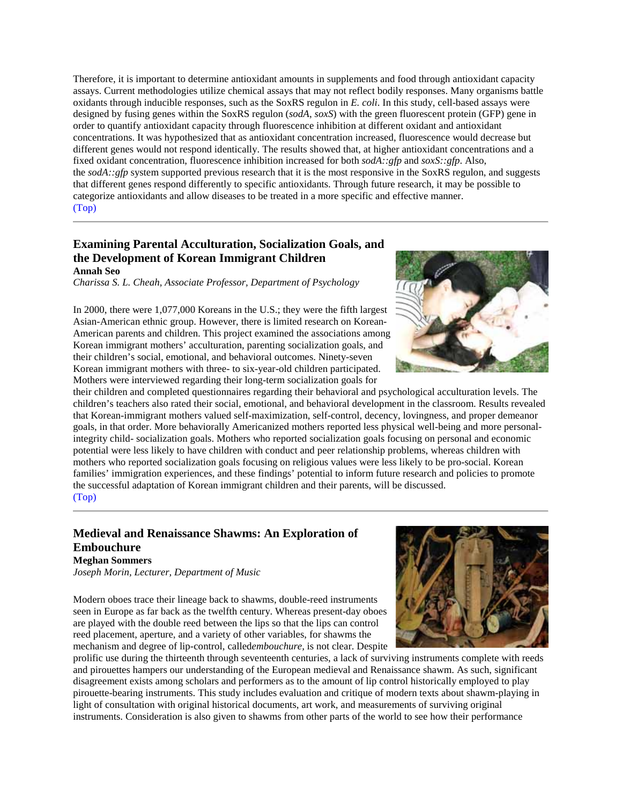Therefore, it is important to determine antioxidant amounts in supplements and food through antioxidant capacity assays. Current methodologies utilize chemical assays that may not reflect bodily responses. Many organisms battle oxidants through inducible responses, such as the SoxRS regulon in *E. coli*. In this study, cell-based assays were designed by fusing genes within the SoxRS regulon (*sodA*, *soxS*) with the green fluorescent protein (GFP) gene in order to quantify antioxidant capacity through fluorescence inhibition at different oxidant and antioxidant concentrations. It was hypothesized that as antioxidant concentration increased, fluorescence would decrease but different genes would not respond identically. The results showed that, at higher antioxidant concentrations and a fixed oxidant concentration, fluorescence inhibition increased for both *sodA::gfp* and *soxS::gfp*. Also, the *sodA::gfp* system supported previous research that it is the most responsive in the SoxRS regulon, and suggests that different genes respond differently to specific antioxidants. Through future research, it may be possible to categorize antioxidants and allow diseases to be treated in a more specific and effective manner. [\(Top\)](#page-0-0)

#### <span id="page-6-0"></span>**Examining Parental Acculturation, Socialization Goals, and the Development of Korean Immigrant Children Annah Seo**

*Charissa S. L. Cheah, Associate Professor, Department of Psychology*

In 2000, there were 1,077,000 Koreans in the U.S.; they were the fifth largest Asian-American ethnic group. However, there is limited research on Korean-American parents and children. This project examined the associations among Korean immigrant mothers' acculturation, parenting socialization goals, and their children's social, emotional, and behavioral outcomes. Ninety-seven Korean immigrant mothers with three- to six-year-old children participated. Mothers were interviewed regarding their long-term socialization goals for

their children and completed questionnaires regarding their behavioral and psychological acculturation levels. The children's teachers also rated their social, emotional, and behavioral development in the classroom. Results revealed that Korean-immigrant mothers valued self-maximization, self-control, decency, lovingness, and proper demeanor goals, in that order. More behaviorally Americanized mothers reported less physical well-being and more personalintegrity child- socialization goals. Mothers who reported socialization goals focusing on personal and economic potential were less likely to have children with conduct and peer relationship problems, whereas children with mothers who reported socialization goals focusing on religious values were less likely to be pro-social. Korean families' immigration experiences, and these findings' potential to inform future research and policies to promote the successful adaptation of Korean immigrant children and their parents, will be discussed. [\(Top\)](#page-0-0)

#### <span id="page-6-1"></span>**Medieval and Renaissance Shawms: An Exploration of Embouchure Meghan Sommers**

*Joseph Morin, Lecturer, Department of Music*

Modern oboes trace their lineage back to shawms, double-reed instruments seen in Europe as far back as the twelfth century. Whereas present-day oboes are played with the double reed between the lips so that the lips can control reed placement, aperture, and a variety of other variables, for shawms the mechanism and degree of lip-control, called*embouchure,* is not clear. Despite

prolific use during the thirteenth through seventeenth centuries, a lack of surviving instruments complete with reeds and pirouettes hampers our understanding of the European medieval and Renaissance shawm. As such, significant disagreement exists among scholars and performers as to the amount of lip control historically employed to play pirouette-bearing instruments. This study includes evaluation and critique of modern texts about shawm-playing in light of consultation with original historical documents, art work, and measurements of surviving original instruments. Consideration is also given to shawms from other parts of the world to see how their performance